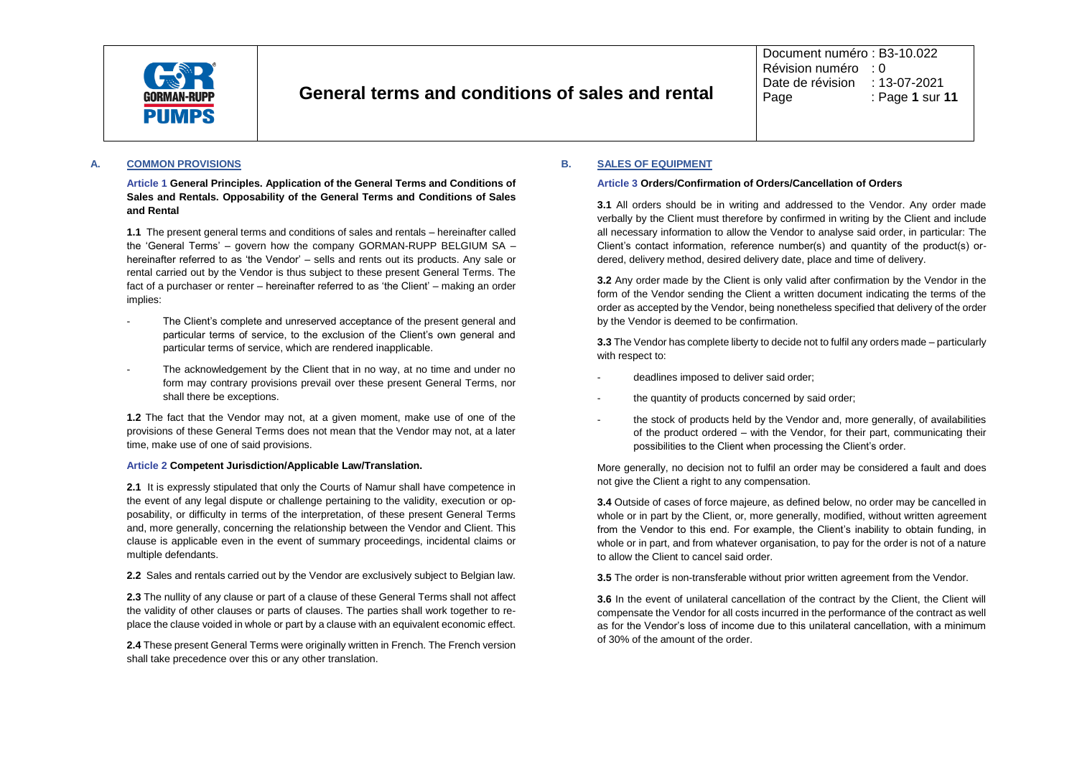

Document numéro : B3-10.022 Révision numéro : 0 Date de révision : 13-07-2021<br>Page : Page 1 sur : Page : Page **1** sur **11**

## **A. COMMON PROVISIONS**

**Article 1 General Principles. Application of the General Terms and Conditions of Sales and Rentals. Opposability of the General Terms and Conditions of Sales and Rental**

**1.1** The present general terms and conditions of sales and rentals – hereinafter called the 'General Terms' – govern how the company GORMAN-RUPP BELGIUM SA – hereinafter referred to as 'the Vendor' – sells and rents out its products. Any sale or rental carried out by the Vendor is thus subject to these present General Terms. The fact of a purchaser or renter – hereinafter referred to as 'the Client' – making an order implies:

- The Client's complete and unreserved acceptance of the present general and particular terms of service, to the exclusion of the Client's own general and particular terms of service, which are rendered inapplicable.
- The acknowledgement by the Client that in no way, at no time and under no form may contrary provisions prevail over these present General Terms, nor shall there be exceptions.

**1.2** The fact that the Vendor may not, at a given moment, make use of one of the provisions of these General Terms does not mean that the Vendor may not, at a later time, make use of one of said provisions.

#### **Article 2 Competent Jurisdiction/Applicable Law/Translation.**

**2.1** It is expressly stipulated that only the Courts of Namur shall have competence in the event of any legal dispute or challenge pertaining to the validity, execution or opposability, or difficulty in terms of the interpretation, of these present General Terms and, more generally, concerning the relationship between the Vendor and Client. This clause is applicable even in the event of summary proceedings, incidental claims or multiple defendants.

**2.2** Sales and rentals carried out by the Vendor are exclusively subject to Belgian law.

**2.3** The nullity of any clause or part of a clause of these General Terms shall not affect the validity of other clauses or parts of clauses. The parties shall work together to replace the clause voided in whole or part by a clause with an equivalent economic effect.

**2.4** These present General Terms were originally written in French. The French version shall take precedence over this or any other translation.

## **B. SALES OF EQUIPMENT**

#### **Article 3 Orders/Confirmation of Orders/Cancellation of Orders**

**3.1** All orders should be in writing and addressed to the Vendor. Any order made verbally by the Client must therefore by confirmed in writing by the Client and include all necessary information to allow the Vendor to analyse said order, in particular: The Client's contact information, reference number(s) and quantity of the product(s) ordered, delivery method, desired delivery date, place and time of delivery.

**3.2** Any order made by the Client is only valid after confirmation by the Vendor in the form of the Vendor sending the Client a written document indicating the terms of the order as accepted by the Vendor, being nonetheless specified that delivery of the order by the Vendor is deemed to be confirmation.

**3.3** The Vendor has complete liberty to decide not to fulfil any orders made – particularly with respect to:

- deadlines imposed to deliver said order;
- the quantity of products concerned by said order;
- the stock of products held by the Vendor and, more generally, of availabilities of the product ordered – with the Vendor, for their part, communicating their possibilities to the Client when processing the Client's order.

More generally, no decision not to fulfil an order may be considered a fault and does not give the Client a right to any compensation.

**3.4** Outside of cases of force majeure, as defined below, no order may be cancelled in whole or in part by the Client, or, more generally, modified, without written agreement from the Vendor to this end. For example, the Client's inability to obtain funding, in whole or in part, and from whatever organisation, to pay for the order is not of a nature to allow the Client to cancel said order.

**3.5** The order is non-transferable without prior written agreement from the Vendor.

**3.6** In the event of unilateral cancellation of the contract by the Client, the Client will compensate the Vendor for all costs incurred in the performance of the contract as well as for the Vendor's loss of income due to this unilateral cancellation, with a minimum of 30% of the amount of the order.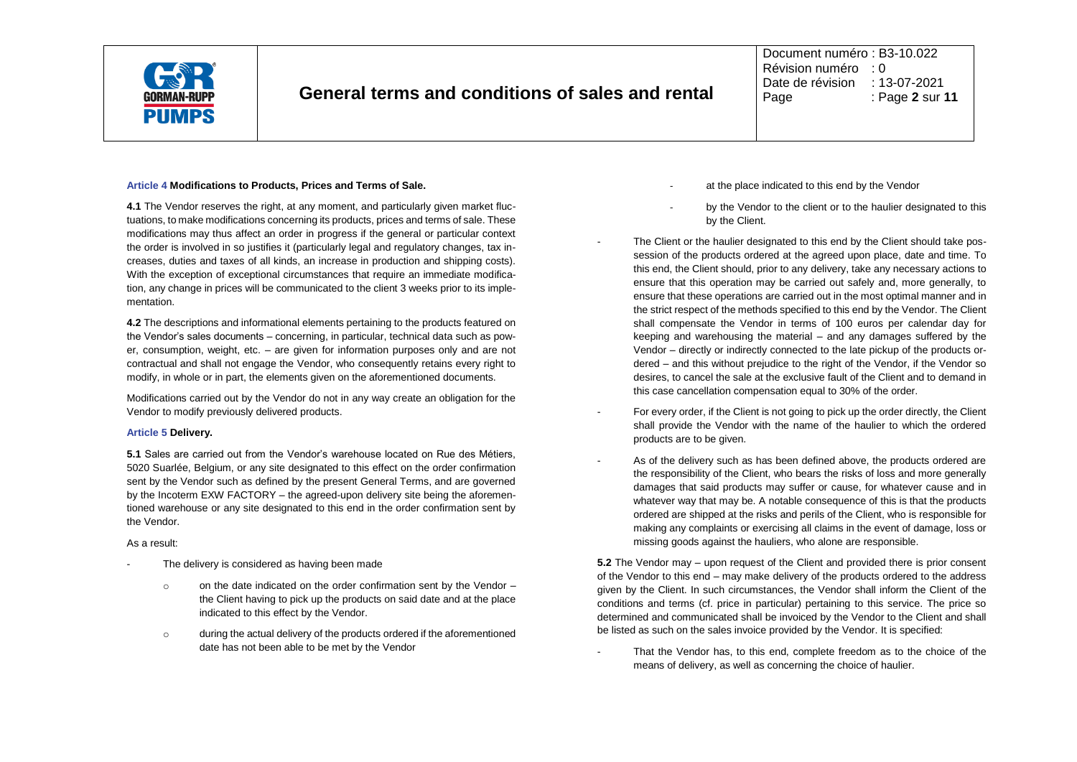

Document numéro : B3-10.022 Révision numéro : 0 Date de révision : 13-07-2021<br>Page : Page 2 sur Page : Page **2** sur **11**

#### **Article 4 Modifications to Products, Prices and Terms of Sale.**

**4.1** The Vendor reserves the right, at any moment, and particularly given market fluctuations, to make modifications concerning its products, prices and terms of sale. These modifications may thus affect an order in progress if the general or particular context the order is involved in so justifies it (particularly legal and regulatory changes, tax increases, duties and taxes of all kinds, an increase in production and shipping costs). With the exception of exceptional circumstances that require an immediate modification, any change in prices will be communicated to the client 3 weeks prior to its implementation.

**4.2** The descriptions and informational elements pertaining to the products featured on the Vendor's sales documents – concerning, in particular, technical data such as power, consumption, weight, etc. – are given for information purposes only and are not contractual and shall not engage the Vendor, who consequently retains every right to modify, in whole or in part, the elements given on the aforementioned documents.

Modifications carried out by the Vendor do not in any way create an obligation for the Vendor to modify previously delivered products.

#### **Article 5 Delivery.**

**5.1** Sales are carried out from the Vendor's warehouse located on Rue des Métiers, 5020 Suarlée, Belgium, or any site designated to this effect on the order confirmation sent by the Vendor such as defined by the present General Terms, and are governed by the Incoterm EXW FACTORY – the agreed-upon delivery site being the aforementioned warehouse or any site designated to this end in the order confirmation sent by the Vendor.

## As a result:

- The delivery is considered as having been made
	- o on the date indicated on the order confirmation sent by the Vendor the Client having to pick up the products on said date and at the place indicated to this effect by the Vendor.
	- o during the actual delivery of the products ordered if the aforementioned date has not been able to be met by the Vendor
- at the place indicated to this end by the Vendor
- by the Vendor to the client or to the haulier designated to this by the Client.
- The Client or the haulier designated to this end by the Client should take possession of the products ordered at the agreed upon place, date and time. To this end, the Client should, prior to any delivery, take any necessary actions to ensure that this operation may be carried out safely and, more generally, to ensure that these operations are carried out in the most optimal manner and in the strict respect of the methods specified to this end by the Vendor. The Client shall compensate the Vendor in terms of 100 euros per calendar day for keeping and warehousing the material – and any damages suffered by the Vendor – directly or indirectly connected to the late pickup of the products ordered – and this without prejudice to the right of the Vendor, if the Vendor so desires, to cancel the sale at the exclusive fault of the Client and to demand in this case cancellation compensation equal to 30% of the order.
- For every order, if the Client is not going to pick up the order directly, the Client shall provide the Vendor with the name of the haulier to which the ordered products are to be given.
- As of the delivery such as has been defined above, the products ordered are the responsibility of the Client, who bears the risks of loss and more generally damages that said products may suffer or cause, for whatever cause and in whatever way that may be. A notable consequence of this is that the products ordered are shipped at the risks and perils of the Client, who is responsible for making any complaints or exercising all claims in the event of damage, loss or missing goods against the hauliers, who alone are responsible.

**5.2** The Vendor may – upon request of the Client and provided there is prior consent of the Vendor to this end – may make delivery of the products ordered to the address given by the Client. In such circumstances, the Vendor shall inform the Client of the conditions and terms (cf. price in particular) pertaining to this service. The price so determined and communicated shall be invoiced by the Vendor to the Client and shall be listed as such on the sales invoice provided by the Vendor. It is specified:

That the Vendor has, to this end, complete freedom as to the choice of the means of delivery, as well as concerning the choice of haulier.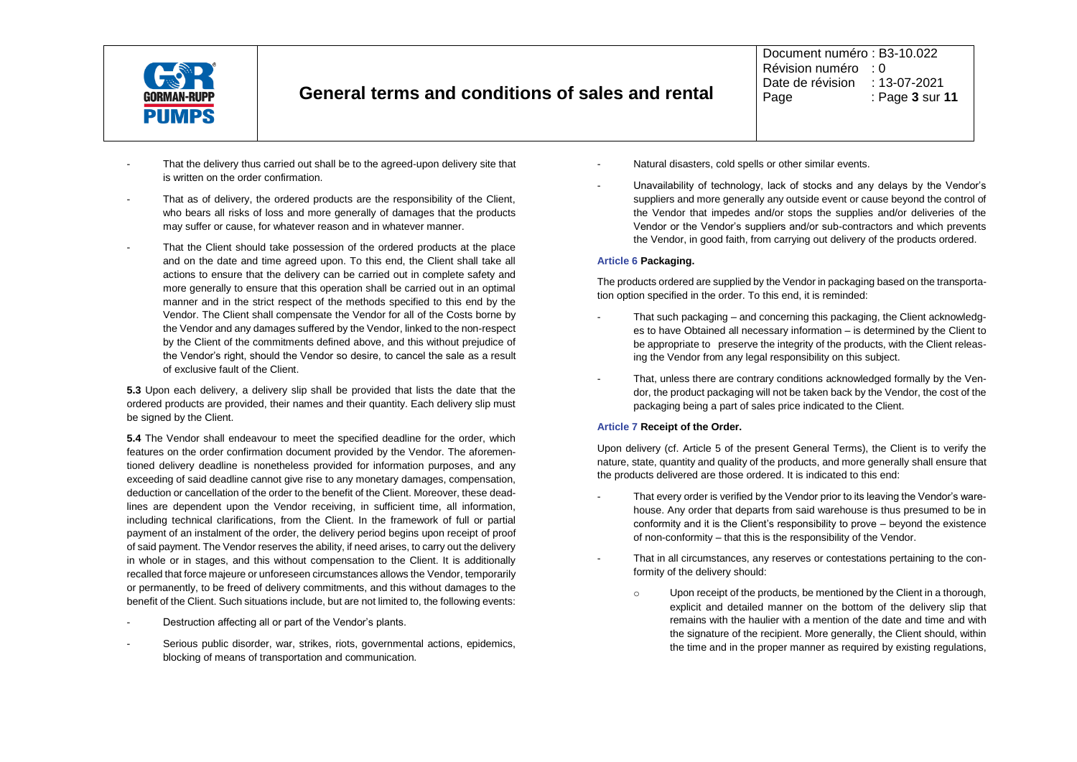

Document numéro : B3-10.022 Révision numéro : 0 Date de révision : 13-07-2021<br>Page : Page 3 sur Page : Page **3** sur **11**

- That the delivery thus carried out shall be to the agreed-upon delivery site that is written on the order confirmation.
- That as of delivery, the ordered products are the responsibility of the Client, who bears all risks of loss and more generally of damages that the products may suffer or cause, for whatever reason and in whatever manner.
- That the Client should take possession of the ordered products at the place and on the date and time agreed upon. To this end, the Client shall take all actions to ensure that the delivery can be carried out in complete safety and more generally to ensure that this operation shall be carried out in an optimal manner and in the strict respect of the methods specified to this end by the Vendor. The Client shall compensate the Vendor for all of the Costs borne by the Vendor and any damages suffered by the Vendor, linked to the non-respect by the Client of the commitments defined above, and this without prejudice of the Vendor's right, should the Vendor so desire, to cancel the sale as a result of exclusive fault of the Client.

**5.3** Upon each delivery, a delivery slip shall be provided that lists the date that the ordered products are provided, their names and their quantity. Each delivery slip must be signed by the Client.

**5.4** The Vendor shall endeavour to meet the specified deadline for the order, which features on the order confirmation document provided by the Vendor. The aforementioned delivery deadline is nonetheless provided for information purposes, and any exceeding of said deadline cannot give rise to any monetary damages, compensation, deduction or cancellation of the order to the benefit of the Client. Moreover, these deadlines are dependent upon the Vendor receiving, in sufficient time, all information, including technical clarifications, from the Client. In the framework of full or partial payment of an instalment of the order, the delivery period begins upon receipt of proof of said payment. The Vendor reserves the ability, if need arises, to carry out the delivery in whole or in stages, and this without compensation to the Client. It is additionally recalled that force majeure or unforeseen circumstances allows the Vendor, temporarily or permanently, to be freed of delivery commitments, and this without damages to the benefit of the Client. Such situations include, but are not limited to, the following events:

- Destruction affecting all or part of the Vendor's plants.
- Serious public disorder, war, strikes, riots, governmental actions, epidemics, blocking of means of transportation and communication.
- Natural disasters, cold spells or other similar events.
- Unavailability of technology, lack of stocks and any delays by the Vendor's suppliers and more generally any outside event or cause beyond the control of the Vendor that impedes and/or stops the supplies and/or deliveries of the Vendor or the Vendor's suppliers and/or sub-contractors and which prevents the Vendor, in good faith, from carrying out delivery of the products ordered.

## **Article 6 Packaging.**

The products ordered are supplied by the Vendor in packaging based on the transportation option specified in the order. To this end, it is reminded:

- That such packaging and concerning this packaging, the Client acknowledges to have Obtained all necessary information – is determined by the Client to be appropriate to preserve the integrity of the products, with the Client releasing the Vendor from any legal responsibility on this subject.
- That, unless there are contrary conditions acknowledged formally by the Vendor, the product packaging will not be taken back by the Vendor, the cost of the packaging being a part of sales price indicated to the Client.

## **Article 7 Receipt of the Order.**

Upon delivery (cf. Article 5 of the present General Terms), the Client is to verify the nature, state, quantity and quality of the products, and more generally shall ensure that the products delivered are those ordered. It is indicated to this end:

- That every order is verified by the Vendor prior to its leaving the Vendor's warehouse. Any order that departs from said warehouse is thus presumed to be in conformity and it is the Client's responsibility to prove – beyond the existence of non-conformity – that this is the responsibility of the Vendor.
	- That in all circumstances, any reserves or contestations pertaining to the conformity of the delivery should:
		- o Upon receipt of the products, be mentioned by the Client in a thorough, explicit and detailed manner on the bottom of the delivery slip that remains with the haulier with a mention of the date and time and with the signature of the recipient. More generally, the Client should, within the time and in the proper manner as required by existing regulations.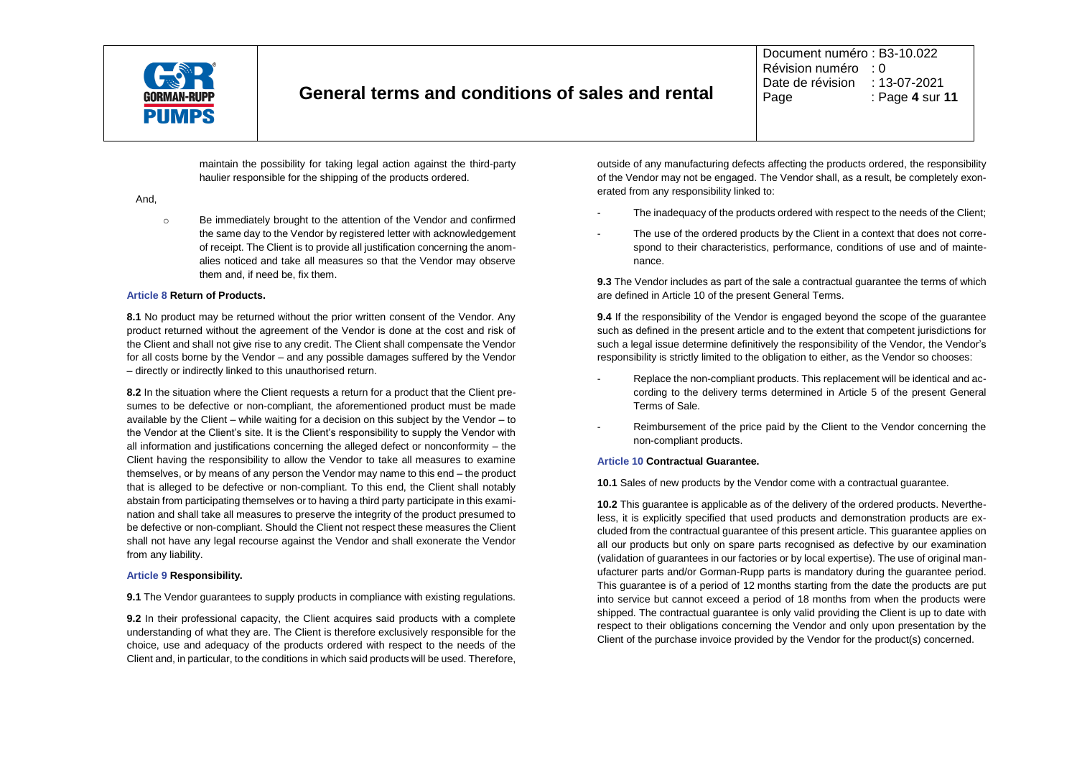

Document numéro : B3-10.022 Révision numéro : 0 Date de révision : 13-07-2021<br>Page : Page 4 sur Page : Page **4** sur **11**

maintain the possibility for taking legal action against the third-party haulier responsible for the shipping of the products ordered.

#### And,

o Be immediately brought to the attention of the Vendor and confirmed the same day to the Vendor by registered letter with acknowledgement of receipt. The Client is to provide all justification concerning the anomalies noticed and take all measures so that the Vendor may observe them and, if need be, fix them.

#### **Article 8 Return of Products.**

**8.1** No product may be returned without the prior written consent of the Vendor. Any product returned without the agreement of the Vendor is done at the cost and risk of the Client and shall not give rise to any credit. The Client shall compensate the Vendor for all costs borne by the Vendor – and any possible damages suffered by the Vendor – directly or indirectly linked to this unauthorised return.

**8.2** In the situation where the Client requests a return for a product that the Client presumes to be defective or non-compliant, the aforementioned product must be made available by the Client – while waiting for a decision on this subject by the Vendor – to the Vendor at the Client's site. It is the Client's responsibility to supply the Vendor with all information and justifications concerning the alleged defect or nonconformity – the Client having the responsibility to allow the Vendor to take all measures to examine themselves, or by means of any person the Vendor may name to this end – the product that is alleged to be defective or non-compliant. To this end, the Client shall notably abstain from participating themselves or to having a third party participate in this examination and shall take all measures to preserve the integrity of the product presumed to be defective or non-compliant. Should the Client not respect these measures the Client shall not have any legal recourse against the Vendor and shall exonerate the Vendor from any liability.

## **Article 9 Responsibility.**

**9.1** The Vendor quarantees to supply products in compliance with existing regulations.

**9.2** In their professional capacity, the Client acquires said products with a complete understanding of what they are. The Client is therefore exclusively responsible for the choice, use and adequacy of the products ordered with respect to the needs of the Client and, in particular, to the conditions in which said products will be used. Therefore, outside of any manufacturing defects affecting the products ordered, the responsibility of the Vendor may not be engaged. The Vendor shall, as a result, be completely exonerated from any responsibility linked to:

- The inadequacy of the products ordered with respect to the needs of the Client;
- The use of the ordered products by the Client in a context that does not correspond to their characteristics, performance, conditions of use and of maintenance.

**9.3** The Vendor includes as part of the sale a contractual guarantee the terms of which are defined in Article 10 of the present General Terms.

**9.4** If the responsibility of the Vendor is engaged beyond the scope of the guarantee such as defined in the present article and to the extent that competent jurisdictions for such a legal issue determine definitively the responsibility of the Vendor, the Vendor's responsibility is strictly limited to the obligation to either, as the Vendor so chooses:

- Replace the non-compliant products. This replacement will be identical and according to the delivery terms determined in Article 5 of the present General Terms of Sale.
- Reimbursement of the price paid by the Client to the Vendor concerning the non-compliant products.

## **Article 10 Contractual Guarantee.**

**10.1** Sales of new products by the Vendor come with a contractual guarantee.

**10.2** This guarantee is applicable as of the delivery of the ordered products. Nevertheless, it is explicitly specified that used products and demonstration products are excluded from the contractual guarantee of this present article. This guarantee applies on all our products but only on spare parts recognised as defective by our examination (validation of guarantees in our factories or by local expertise). The use of original manufacturer parts and/or Gorman-Rupp parts is mandatory during the guarantee period. This guarantee is of a period of 12 months starting from the date the products are put into service but cannot exceed a period of 18 months from when the products were shipped. The contractual guarantee is only valid providing the Client is up to date with respect to their obligations concerning the Vendor and only upon presentation by the Client of the purchase invoice provided by the Vendor for the product(s) concerned.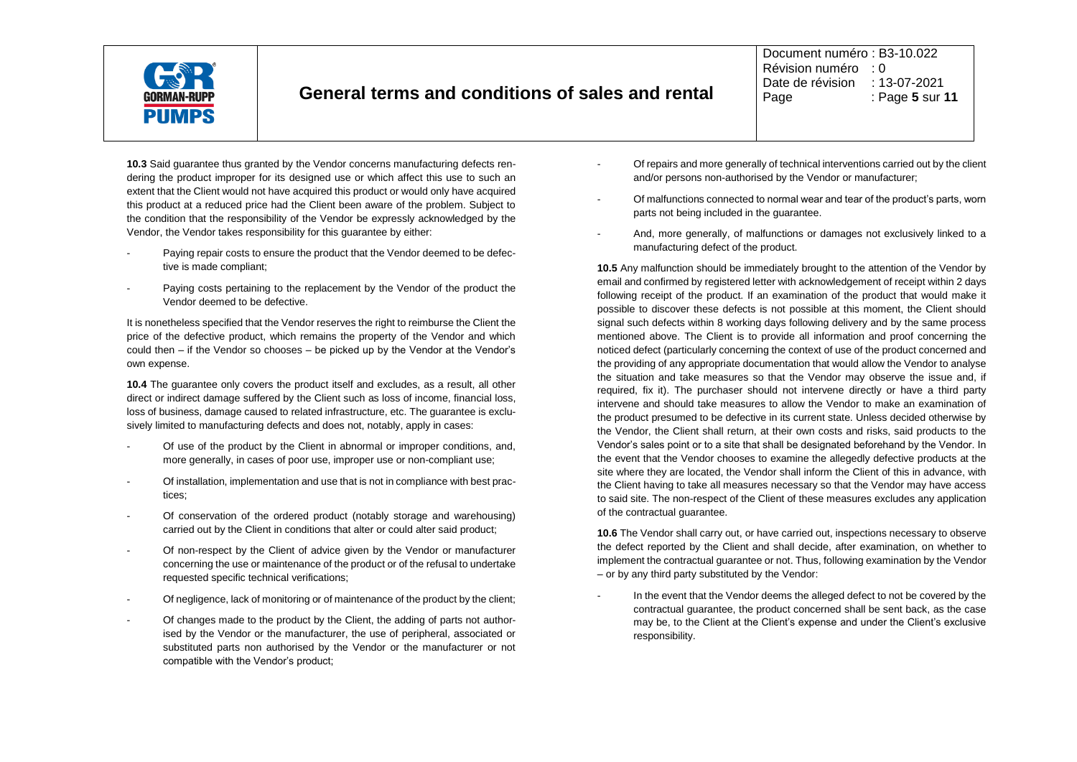

Document numéro : B3-10.022 Révision numéro : 0 Date de révision : 13-07-2021<br>Page : Page 5 sur : Page : Page **5** sur **11**

**10.3** Said guarantee thus granted by the Vendor concerns manufacturing defects rendering the product improper for its designed use or which affect this use to such an extent that the Client would not have acquired this product or would only have acquired this product at a reduced price had the Client been aware of the problem. Subject to the condition that the responsibility of the Vendor be expressly acknowledged by the Vendor, the Vendor takes responsibility for this guarantee by either:

- Paying repair costs to ensure the product that the Vendor deemed to be defective is made compliant;
- Paying costs pertaining to the replacement by the Vendor of the product the Vendor deemed to be defective.

It is nonetheless specified that the Vendor reserves the right to reimburse the Client the price of the defective product, which remains the property of the Vendor and which could then – if the Vendor so chooses – be picked up by the Vendor at the Vendor's own expense.

**10.4** The guarantee only covers the product itself and excludes, as a result, all other direct or indirect damage suffered by the Client such as loss of income, financial loss, loss of business, damage caused to related infrastructure, etc. The guarantee is exclusively limited to manufacturing defects and does not, notably, apply in cases:

- Of use of the product by the Client in abnormal or improper conditions, and, more generally, in cases of poor use, improper use or non-compliant use;
- Of installation, implementation and use that is not in compliance with best practices;
- Of conservation of the ordered product (notably storage and warehousing) carried out by the Client in conditions that alter or could alter said product;
- Of non-respect by the Client of advice given by the Vendor or manufacturer concerning the use or maintenance of the product or of the refusal to undertake requested specific technical verifications;
- Of negligence, lack of monitoring or of maintenance of the product by the client;
- Of changes made to the product by the Client, the adding of parts not authorised by the Vendor or the manufacturer, the use of peripheral, associated or substituted parts non authorised by the Vendor or the manufacturer or not compatible with the Vendor's product;
- Of repairs and more generally of technical interventions carried out by the client and/or persons non-authorised by the Vendor or manufacturer;
- Of malfunctions connected to normal wear and tear of the product's parts, worn parts not being included in the guarantee.
- And, more generally, of malfunctions or damages not exclusively linked to a manufacturing defect of the product.

**10.5** Any malfunction should be immediately brought to the attention of the Vendor by email and confirmed by registered letter with acknowledgement of receipt within 2 days following receipt of the product. If an examination of the product that would make it possible to discover these defects is not possible at this moment, the Client should signal such defects within 8 working days following delivery and by the same process mentioned above. The Client is to provide all information and proof concerning the noticed defect (particularly concerning the context of use of the product concerned and the providing of any appropriate documentation that would allow the Vendor to analyse the situation and take measures so that the Vendor may observe the issue and, if required, fix it). The purchaser should not intervene directly or have a third party intervene and should take measures to allow the Vendor to make an examination of the product presumed to be defective in its current state. Unless decided otherwise by the Vendor, the Client shall return, at their own costs and risks, said products to the Vendor's sales point or to a site that shall be designated beforehand by the Vendor. In the event that the Vendor chooses to examine the allegedly defective products at the site where they are located, the Vendor shall inform the Client of this in advance, with the Client having to take all measures necessary so that the Vendor may have access to said site. The non-respect of the Client of these measures excludes any application of the contractual guarantee.

**10.6** The Vendor shall carry out, or have carried out, inspections necessary to observe the defect reported by the Client and shall decide, after examination, on whether to implement the contractual guarantee or not. Thus, following examination by the Vendor – or by any third party substituted by the Vendor:

In the event that the Vendor deems the alleged defect to not be covered by the contractual guarantee, the product concerned shall be sent back, as the case may be, to the Client at the Client's expense and under the Client's exclusive responsibility.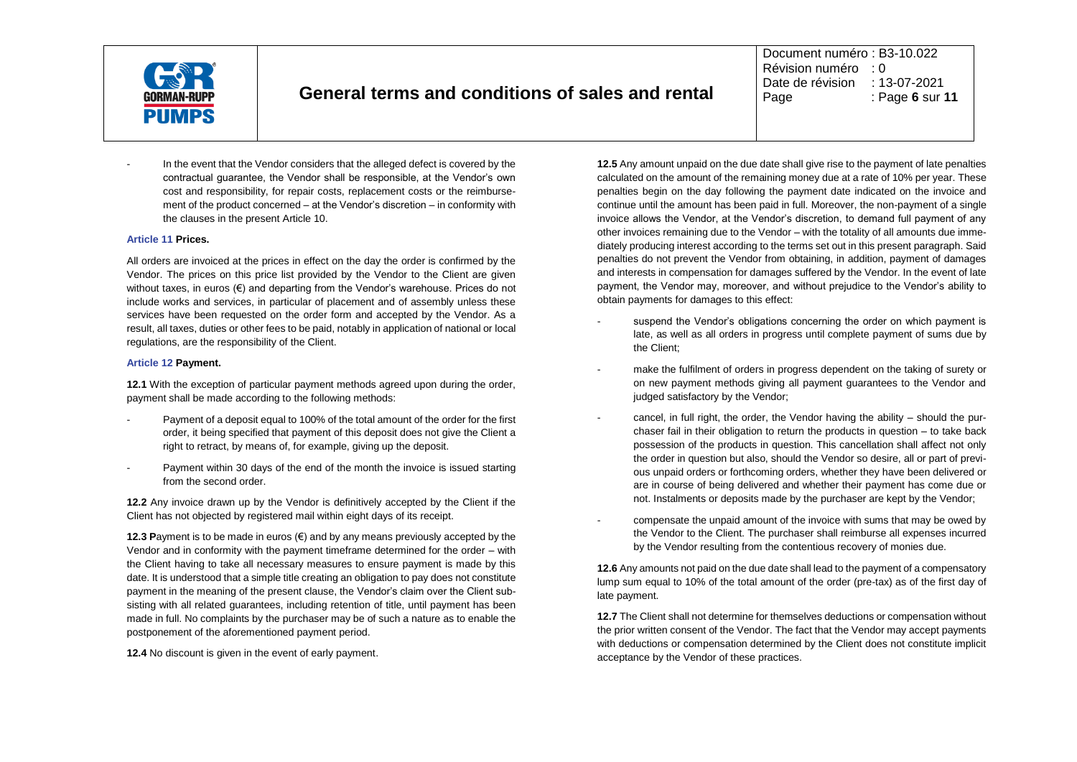

Document numéro : B3-10.022 Révision numéro : 0 Date de révision : 13-07-2021<br>Page : Page 6 sur : Page : Page **6** sur **11**

In the event that the Vendor considers that the alleged defect is covered by the contractual guarantee, the Vendor shall be responsible, at the Vendor's own cost and responsibility, for repair costs, replacement costs or the reimbursement of the product concerned – at the Vendor's discretion – in conformity with the clauses in the present Article 10.

#### **Article 11 Prices.**

All orders are invoiced at the prices in effect on the day the order is confirmed by the Vendor. The prices on this price list provided by the Vendor to the Client are given without taxes, in euros (€) and departing from the Vendor's warehouse. Prices do not include works and services, in particular of placement and of assembly unless these services have been requested on the order form and accepted by the Vendor. As a result, all taxes, duties or other fees to be paid, notably in application of national or local regulations, are the responsibility of the Client.

#### **Article 12 Payment.**

**12.1** With the exception of particular payment methods agreed upon during the order, payment shall be made according to the following methods:

- Payment of a deposit equal to 100% of the total amount of the order for the first order, it being specified that payment of this deposit does not give the Client a right to retract, by means of, for example, giving up the deposit.
- Payment within 30 days of the end of the month the invoice is issued starting from the second order.

**12.2** Any invoice drawn up by the Vendor is definitively accepted by the Client if the Client has not objected by registered mail within eight days of its receipt.

**12.3 P**ayment is to be made in euros (€) and by any means previously accepted by the Vendor and in conformity with the payment timeframe determined for the order – with the Client having to take all necessary measures to ensure payment is made by this date. It is understood that a simple title creating an obligation to pay does not constitute payment in the meaning of the present clause, the Vendor's claim over the Client subsisting with all related guarantees, including retention of title, until payment has been made in full. No complaints by the purchaser may be of such a nature as to enable the postponement of the aforementioned payment period.

**12.4** No discount is given in the event of early payment.

**12.5** Any amount unpaid on the due date shall give rise to the payment of late penalties calculated on the amount of the remaining money due at a rate of 10% per year. These penalties begin on the day following the payment date indicated on the invoice and continue until the amount has been paid in full. Moreover, the non-payment of a single invoice allows the Vendor, at the Vendor's discretion, to demand full payment of any other invoices remaining due to the Vendor – with the totality of all amounts due immediately producing interest according to the terms set out in this present paragraph. Said penalties do not prevent the Vendor from obtaining, in addition, payment of damages and interests in compensation for damages suffered by the Vendor. In the event of late payment, the Vendor may, moreover, and without prejudice to the Vendor's ability to obtain payments for damages to this effect:

- suspend the Vendor's obligations concerning the order on which payment is late, as well as all orders in progress until complete payment of sums due by the Client;
- make the fulfilment of orders in progress dependent on the taking of surety or on new payment methods giving all payment guarantees to the Vendor and judged satisfactory by the Vendor;
- cancel, in full right, the order, the Vendor having the ability  $-$  should the purchaser fail in their obligation to return the products in question – to take back possession of the products in question. This cancellation shall affect not only the order in question but also, should the Vendor so desire, all or part of previous unpaid orders or forthcoming orders, whether they have been delivered or are in course of being delivered and whether their payment has come due or not. Instalments or deposits made by the purchaser are kept by the Vendor;
- compensate the unpaid amount of the invoice with sums that may be owed by the Vendor to the Client. The purchaser shall reimburse all expenses incurred by the Vendor resulting from the contentious recovery of monies due.

**12.6** Any amounts not paid on the due date shall lead to the payment of a compensatory lump sum equal to 10% of the total amount of the order (pre-tax) as of the first day of late payment.

**12.7** The Client shall not determine for themselves deductions or compensation without the prior written consent of the Vendor. The fact that the Vendor may accept payments with deductions or compensation determined by the Client does not constitute implicit acceptance by the Vendor of these practices.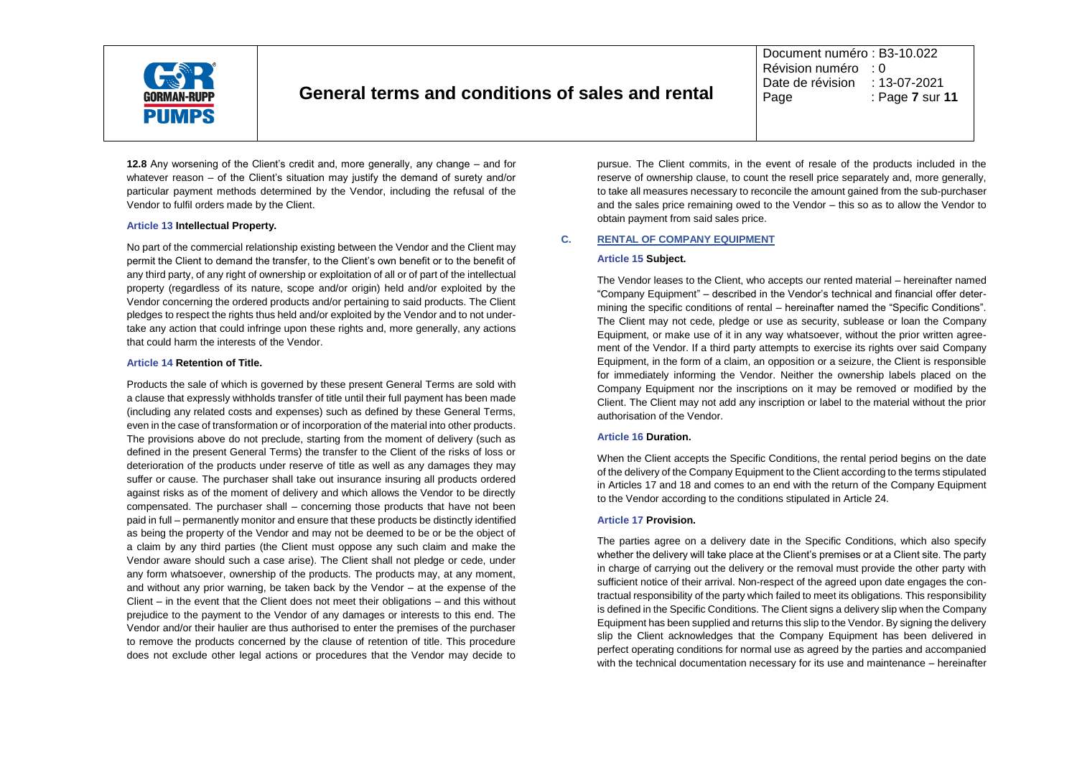

Document numéro : B3-10.022 Révision numéro : 0 Date de révision : 13-07-2021<br>Page : Page 7 sur Page : Page **7** sur **11**

**12.8** Any worsening of the Client's credit and, more generally, any change – and for whatever reason – of the Client's situation may justify the demand of surety and/or particular payment methods determined by the Vendor, including the refusal of the Vendor to fulfil orders made by the Client.

#### **Article 13 Intellectual Property.**

No part of the commercial relationship existing between the Vendor and the Client may permit the Client to demand the transfer, to the Client's own benefit or to the benefit of any third party, of any right of ownership or exploitation of all or of part of the intellectual property (regardless of its nature, scope and/or origin) held and/or exploited by the Vendor concerning the ordered products and/or pertaining to said products. The Client pledges to respect the rights thus held and/or exploited by the Vendor and to not undertake any action that could infringe upon these rights and, more generally, any actions that could harm the interests of the Vendor.

#### **Article 14 Retention of Title.**

Products the sale of which is governed by these present General Terms are sold with a clause that expressly withholds transfer of title until their full payment has been made (including any related costs and expenses) such as defined by these General Terms, even in the case of transformation or of incorporation of the material into other products. The provisions above do not preclude, starting from the moment of delivery (such as defined in the present General Terms) the transfer to the Client of the risks of loss or deterioration of the products under reserve of title as well as any damages they may suffer or cause. The purchaser shall take out insurance insuring all products ordered against risks as of the moment of delivery and which allows the Vendor to be directly compensated. The purchaser shall – concerning those products that have not been paid in full – permanently monitor and ensure that these products be distinctly identified as being the property of the Vendor and may not be deemed to be or be the object of a claim by any third parties (the Client must oppose any such claim and make the Vendor aware should such a case arise). The Client shall not pledge or cede, under any form whatsoever, ownership of the products. The products may, at any moment, and without any prior warning, be taken back by the Vendor – at the expense of the Client – in the event that the Client does not meet their obligations – and this without prejudice to the payment to the Vendor of any damages or interests to this end. The Vendor and/or their haulier are thus authorised to enter the premises of the purchaser to remove the products concerned by the clause of retention of title. This procedure does not exclude other legal actions or procedures that the Vendor may decide to pursue. The Client commits, in the event of resale of the products included in the reserve of ownership clause, to count the resell price separately and, more generally, to take all measures necessary to reconcile the amount gained from the sub-purchaser and the sales price remaining owed to the Vendor – this so as to allow the Vendor to obtain payment from said sales price.

## **C. RENTAL OF COMPANY EQUIPMENT**

#### **Article 15 Subject.**

The Vendor leases to the Client, who accepts our rented material – hereinafter named "Company Equipment" – described in the Vendor's technical and financial offer determining the specific conditions of rental – hereinafter named the "Specific Conditions". The Client may not cede, pledge or use as security, sublease or loan the Company Equipment, or make use of it in any way whatsoever, without the prior written agreement of the Vendor. If a third party attempts to exercise its rights over said Company Equipment, in the form of a claim, an opposition or a seizure, the Client is responsible for immediately informing the Vendor. Neither the ownership labels placed on the Company Equipment nor the inscriptions on it may be removed or modified by the Client. The Client may not add any inscription or label to the material without the prior authorisation of the Vendor.

#### **Article 16 Duration.**

When the Client accepts the Specific Conditions, the rental period begins on the date of the delivery of the Company Equipment to the Client according to the terms stipulated in Articles 17 and 18 and comes to an end with the return of the Company Equipment to the Vendor according to the conditions stipulated in Article 24.

#### **Article 17 Provision.**

The parties agree on a delivery date in the Specific Conditions, which also specify whether the delivery will take place at the Client's premises or at a Client site. The party in charge of carrying out the delivery or the removal must provide the other party with sufficient notice of their arrival. Non-respect of the agreed upon date engages the contractual responsibility of the party which failed to meet its obligations. This responsibility is defined in the Specific Conditions. The Client signs a delivery slip when the Company Equipment has been supplied and returns this slip to the Vendor. By signing the delivery slip the Client acknowledges that the Company Equipment has been delivered in perfect operating conditions for normal use as agreed by the parties and accompanied with the technical documentation necessary for its use and maintenance – hereinafter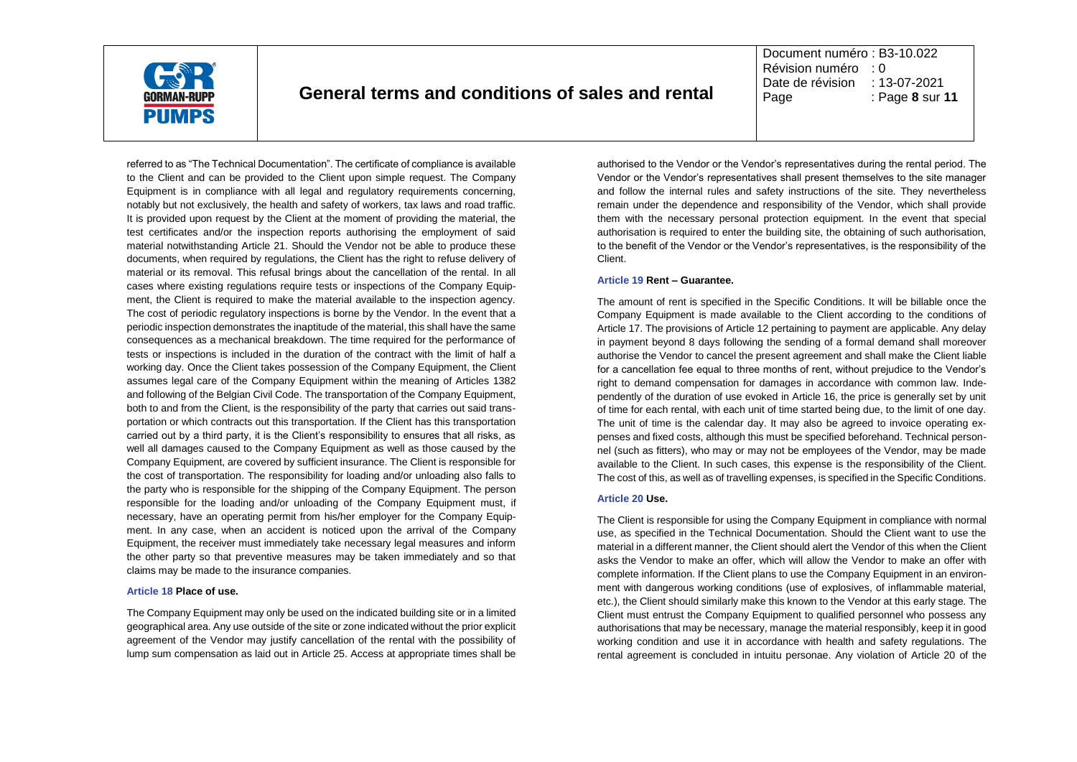

Document numéro : B3-10.022 Révision numéro : 0 Date de révision : 13-07-2021 Page : Page **8** sur **11**

referred to as "The Technical Documentation". The certificate of compliance is available to the Client and can be provided to the Client upon simple request. The Company Equipment is in compliance with all legal and regulatory requirements concerning, notably but not exclusively, the health and safety of workers, tax laws and road traffic. It is provided upon request by the Client at the moment of providing the material, the test certificates and/or the inspection reports authorising the employment of said material notwithstanding Article 21. Should the Vendor not be able to produce these documents, when required by regulations, the Client has the right to refuse delivery of material or its removal. This refusal brings about the cancellation of the rental. In all cases where existing regulations require tests or inspections of the Company Equipment, the Client is required to make the material available to the inspection agency. The cost of periodic regulatory inspections is borne by the Vendor. In the event that a periodic inspection demonstrates the inaptitude of the material, this shall have the same consequences as a mechanical breakdown. The time required for the performance of tests or inspections is included in the duration of the contract with the limit of half a working day. Once the Client takes possession of the Company Equipment, the Client assumes legal care of the Company Equipment within the meaning of Articles 1382 and following of the Belgian Civil Code. The transportation of the Company Equipment, both to and from the Client, is the responsibility of the party that carries out said transportation or which contracts out this transportation. If the Client has this transportation carried out by a third party, it is the Client's responsibility to ensures that all risks, as well all damages caused to the Company Equipment as well as those caused by the Company Equipment, are covered by sufficient insurance. The Client is responsible for the cost of transportation. The responsibility for loading and/or unloading also falls to the party who is responsible for the shipping of the Company Equipment. The person responsible for the loading and/or unloading of the Company Equipment must, if necessary, have an operating permit from his/her employer for the Company Equipment. In any case, when an accident is noticed upon the arrival of the Company Equipment, the receiver must immediately take necessary legal measures and inform the other party so that preventive measures may be taken immediately and so that claims may be made to the insurance companies.

#### **Article 18 Place of use.**

The Company Equipment may only be used on the indicated building site or in a limited geographical area. Any use outside of the site or zone indicated without the prior explicit agreement of the Vendor may justify cancellation of the rental with the possibility of lump sum compensation as laid out in Article 25. Access at appropriate times shall be authorised to the Vendor or the Vendor's representatives during the rental period. The Vendor or the Vendor's representatives shall present themselves to the site manager and follow the internal rules and safety instructions of the site. They nevertheless remain under the dependence and responsibility of the Vendor, which shall provide them with the necessary personal protection equipment. In the event that special authorisation is required to enter the building site, the obtaining of such authorisation, to the benefit of the Vendor or the Vendor's representatives, is the responsibility of the Client.

#### **Article 19 Rent – Guarantee.**

The amount of rent is specified in the Specific Conditions. It will be billable once the Company Equipment is made available to the Client according to the conditions of Article 17. The provisions of Article 12 pertaining to payment are applicable. Any delay in payment beyond 8 days following the sending of a formal demand shall moreover authorise the Vendor to cancel the present agreement and shall make the Client liable for a cancellation fee equal to three months of rent, without prejudice to the Vendor's right to demand compensation for damages in accordance with common law. Independently of the duration of use evoked in Article 16, the price is generally set by unit of time for each rental, with each unit of time started being due, to the limit of one day. The unit of time is the calendar day. It may also be agreed to invoice operating expenses and fixed costs, although this must be specified beforehand. Technical personnel (such as fitters), who may or may not be employees of the Vendor, may be made available to the Client. In such cases, this expense is the responsibility of the Client. The cost of this, as well as of travelling expenses, is specified in the Specific Conditions.

#### **Article 20 Use.**

The Client is responsible for using the Company Equipment in compliance with normal use, as specified in the Technical Documentation. Should the Client want to use the material in a different manner, the Client should alert the Vendor of this when the Client asks the Vendor to make an offer, which will allow the Vendor to make an offer with complete information. If the Client plans to use the Company Equipment in an environment with dangerous working conditions (use of explosives, of inflammable material, etc.), the Client should similarly make this known to the Vendor at this early stage. The Client must entrust the Company Equipment to qualified personnel who possess any authorisations that may be necessary, manage the material responsibly, keep it in good working condition and use it in accordance with health and safety regulations. The rental agreement is concluded in intuitu personae. Any violation of Article 20 of the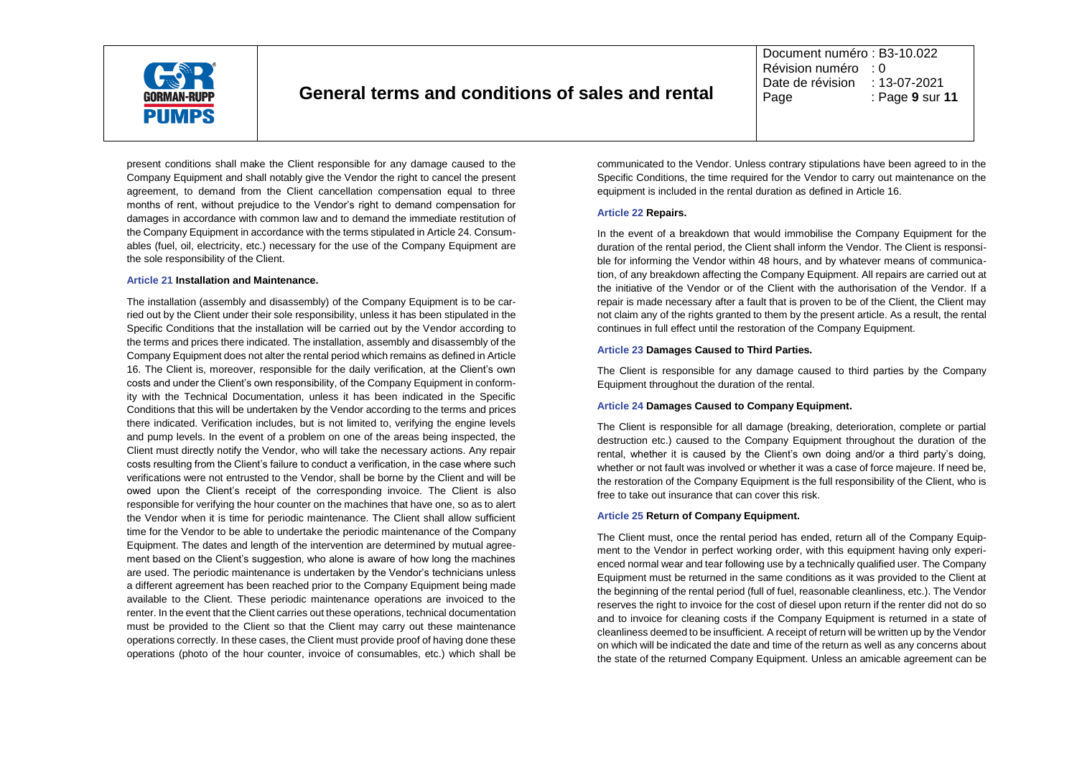

Document numéro : B3-10.022 Révision numéro : 0 Date de révision : 13-07-2021 Page : Page **9** sur **11**

present conditions shall make the Client responsible for any damage caused to the Company Equipment and shall notably give the Vendor the right to cancel the present agreement, to demand from the Client cancellation compensation equal to three months of rent, without prejudice to the Vendor's right to demand compensation for damages in accordance with common law and to demand the immediate restitution of the Company Equipment in accordance with the terms stipulated in Article 24. Consumables (fuel, oil, electricity, etc.) necessary for the use of the Company Equipment are the sole responsibility of the Client.

#### **Article 21 Installation and Maintenance.**

The installation (assembly and disassembly) of the Company Equipment is to be carried out by the Client under their sole responsibility, unless it has been stipulated in the Specific Conditions that the installation will be carried out by the Vendor according to the terms and prices there indicated. The installation, assembly and disassembly of the Company Equipment does not alter the rental period which remains as defined in Article 16. The Client is, moreover, responsible for the daily verification, at the Client's own costs and under the Client's own responsibility, of the Company Equipment in conformity with the Technical Documentation, unless it has been indicated in the Specific Conditions that this will be undertaken by the Vendor according to the terms and prices there indicated. Verification includes, but is not limited to, verifying the engine levels and pump levels. In the event of a problem on one of the areas being inspected, the Client must directly notify the Vendor, who will take the necessary actions. Any repair costs resulting from the Client's failure to conduct a verification, in the case where such verifications were not entrusted to the Vendor, shall be borne by the Client and will be owed upon the Client's receipt of the corresponding invoice. The Client is also responsible for verifying the hour counter on the machines that have one, so as to alert the Vendor when it is time for periodic maintenance. The Client shall allow sufficient time for the Vendor to be able to undertake the periodic maintenance of the Company Equipment. The dates and length of the intervention are determined by mutual agreement based on the Client's suggestion, who alone is aware of how long the machines are used. The periodic maintenance is undertaken by the Vendor's technicians unless a different agreement has been reached prior to the Company Equipment being made available to the Client. These periodic maintenance operations are invoiced to the renter. In the event that the Client carries out these operations, technical documentation must be provided to the Client so that the Client may carry out these maintenance operations correctly. In these cases, the Client must provide proof of having done these operations (photo of the hour counter, invoice of consumables, etc.) which shall be communicated to the Vendor. Unless contrary stipulations have been agreed to in the Specific Conditions, the time required for the Vendor to carry out maintenance on the equipment is included in the rental duration as defined in Article 16.

#### **Article 22 Repairs.**

In the event of a breakdown that would immobilise the Company Equipment for the duration of the rental period, the Client shall inform the Vendor. The Client is responsible for informing the Vendor within 48 hours, and by whatever means of communication, of any breakdown affecting the Company Equipment. All repairs are carried out at the initiative of the Vendor or of the Client with the authorisation of the Vendor. If a repair is made necessary after a fault that is proven to be of the Client, the Client may not claim any of the rights granted to them by the present article. As a result, the rental continues in full effect until the restoration of the Company Equipment.

#### **Article 23 Damages Caused to Third Parties.**

The Client is responsible for any damage caused to third parties by the Company Equipment throughout the duration of the rental.

#### **Article 24 Damages Caused to Company Equipment.**

The Client is responsible for all damage (breaking, deterioration, complete or partial destruction etc.) caused to the Company Equipment throughout the duration of the rental, whether it is caused by the Client's own doing and/or a third party's doing, whether or not fault was involved or whether it was a case of force majeure. If need be, the restoration of the Company Equipment is the full responsibility of the Client, who is free to take out insurance that can cover this risk.

#### **Article 25 Return of Company Equipment.**

The Client must, once the rental period has ended, return all of the Company Equipment to the Vendor in perfect working order, with this equipment having only experienced normal wear and tear following use by a technically qualified user. The Company Equipment must be returned in the same conditions as it was provided to the Client at the beginning of the rental period (full of fuel, reasonable cleanliness, etc.). The Vendor reserves the right to invoice for the cost of diesel upon return if the renter did not do so and to invoice for cleaning costs if the Company Equipment is returned in a state of cleanliness deemed to be insufficient. A receipt of return will be written up by the Vendor on which will be indicated the date and time of the return as well as any concerns about the state of the returned Company Equipment. Unless an amicable agreement can be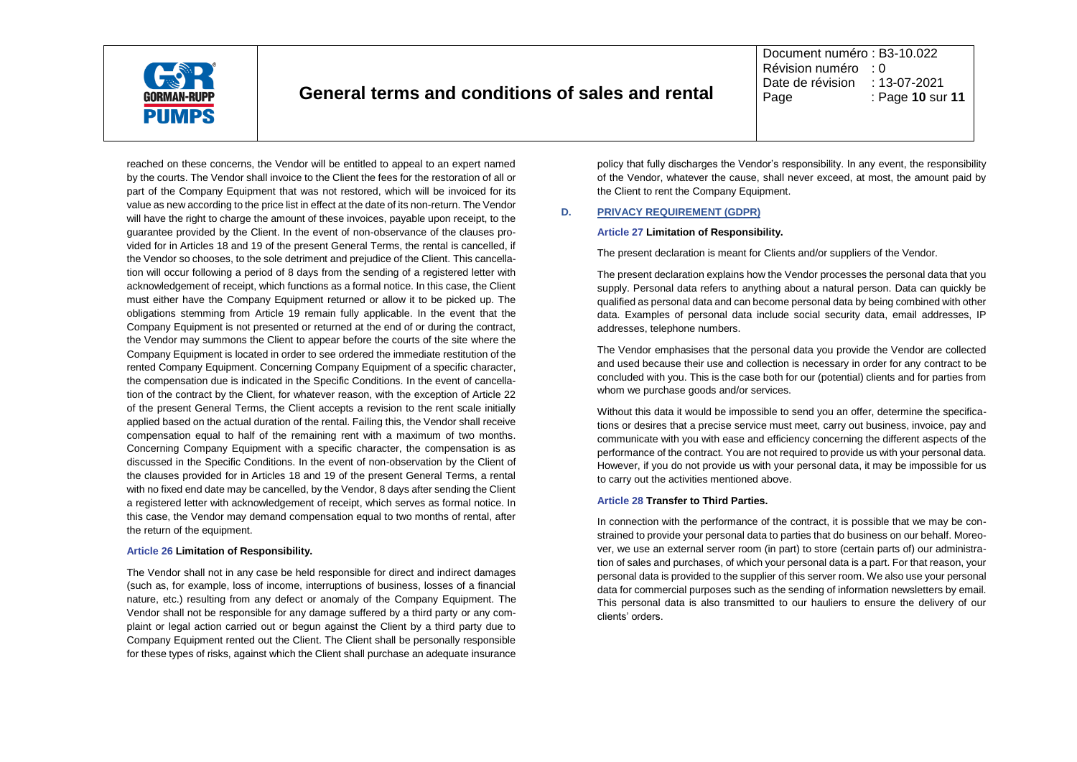

Document numéro : B3-10.022 Révision numéro : 0 Date de révision : 13-07-2021<br>Page : Page 10 sul Page : Page **10** sur **11**

reached on these concerns, the Vendor will be entitled to appeal to an expert named by the courts. The Vendor shall invoice to the Client the fees for the restoration of all or part of the Company Equipment that was not restored, which will be invoiced for its value as new according to the price list in effect at the date of its non-return. The Vendor will have the right to charge the amount of these invoices, payable upon receipt, to the guarantee provided by the Client. In the event of non-observance of the clauses provided for in Articles 18 and 19 of the present General Terms, the rental is cancelled, if the Vendor so chooses, to the sole detriment and prejudice of the Client. This cancellation will occur following a period of 8 days from the sending of a registered letter with acknowledgement of receipt, which functions as a formal notice. In this case, the Client must either have the Company Equipment returned or allow it to be picked up. The obligations stemming from Article 19 remain fully applicable. In the event that the Company Equipment is not presented or returned at the end of or during the contract, the Vendor may summons the Client to appear before the courts of the site where the Company Equipment is located in order to see ordered the immediate restitution of the rented Company Equipment. Concerning Company Equipment of a specific character, the compensation due is indicated in the Specific Conditions. In the event of cancellation of the contract by the Client, for whatever reason, with the exception of Article 22 of the present General Terms, the Client accepts a revision to the rent scale initially applied based on the actual duration of the rental. Failing this, the Vendor shall receive compensation equal to half of the remaining rent with a maximum of two months. Concerning Company Equipment with a specific character, the compensation is as discussed in the Specific Conditions. In the event of non-observation by the Client of the clauses provided for in Articles 18 and 19 of the present General Terms, a rental with no fixed end date may be cancelled, by the Vendor, 8 days after sending the Client a registered letter with acknowledgement of receipt, which serves as formal notice. In this case, the Vendor may demand compensation equal to two months of rental, after the return of the equipment.

#### **Article 26 Limitation of Responsibility.**

The Vendor shall not in any case be held responsible for direct and indirect damages (such as, for example, loss of income, interruptions of business, losses of a financial nature, etc.) resulting from any defect or anomaly of the Company Equipment. The Vendor shall not be responsible for any damage suffered by a third party or any complaint or legal action carried out or begun against the Client by a third party due to Company Equipment rented out the Client. The Client shall be personally responsible for these types of risks, against which the Client shall purchase an adequate insurance policy that fully discharges the Vendor's responsibility. In any event, the responsibility of the Vendor, whatever the cause, shall never exceed, at most, the amount paid by the Client to rent the Company Equipment.

## **D. PRIVACY REQUIREMENT (GDPR)**

#### **Article 27 Limitation of Responsibility.**

The present declaration is meant for Clients and/or suppliers of the Vendor.

The present declaration explains how the Vendor processes the personal data that you supply. Personal data refers to anything about a natural person. Data can quickly be qualified as personal data and can become personal data by being combined with other data. Examples of personal data include social security data, email addresses, IP addresses, telephone numbers.

The Vendor emphasises that the personal data you provide the Vendor are collected and used because their use and collection is necessary in order for any contract to be concluded with you. This is the case both for our (potential) clients and for parties from whom we purchase goods and/or services.

Without this data it would be impossible to send you an offer, determine the specifications or desires that a precise service must meet, carry out business, invoice, pay and communicate with you with ease and efficiency concerning the different aspects of the performance of the contract. You are not required to provide us with your personal data. However, if you do not provide us with your personal data, it may be impossible for us to carry out the activities mentioned above.

## **Article 28 Transfer to Third Parties.**

In connection with the performance of the contract, it is possible that we may be constrained to provide your personal data to parties that do business on our behalf. Moreover, we use an external server room (in part) to store (certain parts of) our administration of sales and purchases, of which your personal data is a part. For that reason, your personal data is provided to the supplier of this server room. We also use your personal data for commercial purposes such as the sending of information newsletters by email. This personal data is also transmitted to our hauliers to ensure the delivery of our clients' orders.